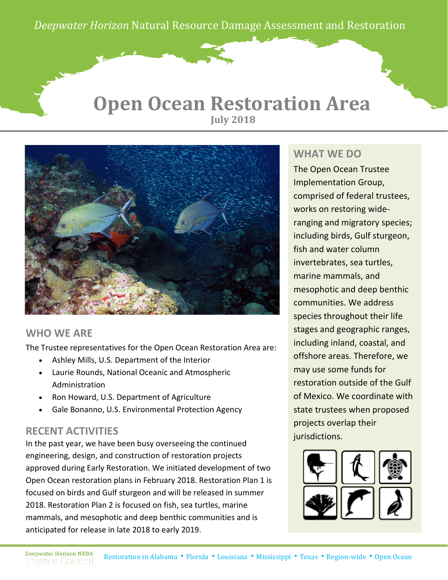*Deepwater Horizon* Natural Resource Damage Assessment and Restoration *Deepwater Horizon* Natural Resource Damage Assessment and Restoration

### **Open Ocean Restoration Area July 2018**



#### **WHO WE ARE**

The Trustee representatives for the Open Ocean Restoration Area are:

- Ashley Mills, U.S. Department of the Interior
- Laurie Rounds, National Oceanic and Atmospheric Administration
- Ron Howard, U.S. Department of Agriculture
- Gale Bonanno, U.S. Environmental Protection Agency

#### **RECENT ACTIVITIES**

In the past year, we have been busy overseeing the continued engineering, design, and construction of restoration projects approved during Early Restoration. We initiated development of two Open Ocean restoration plans in February 2018. Restoration Plan 1 is focused on birds and Gulf sturgeon and will be released in summer 2018. Restoration Plan 2 is focused on fish, sea turtles, marine mammals, and mesophotic and deep benthic communities and is anticipated for release in late 2018 to early 2019.

#### **WHAT WE DO**

The Open Ocean Trustee Implementation Group, comprised of federal trustees, works on restoring wideranging and migratory species; including birds, Gulf sturgeon, fish and water column invertebrates, sea turtles, marine mammals, and mesophotic and deep benthic communities. We address species throughout their life stages and geographic ranges, including inland, coastal, and offshore areas. Therefore, we may use some funds for restoration outside of the Gulf of Mexico. We coordinate with state trustees when proposed projects overlap their jurisdictions.